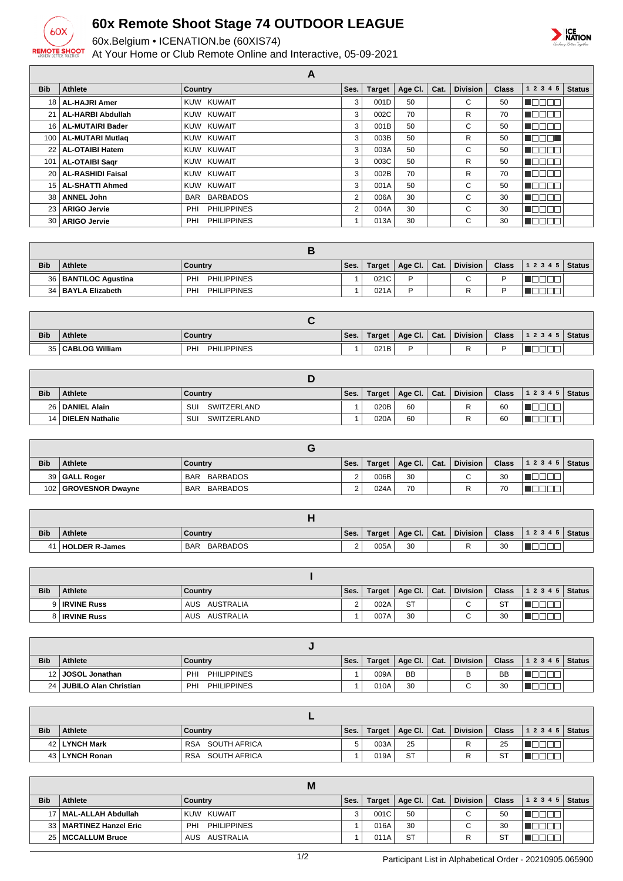

## **60x Remote Shoot Stage 74 OUTDOOR LEAGUE**

60x.Belgium • ICENATION.be (60XIS74)

At Your Home or Club Remote Online and Interactive, 05-09-2021



|                  | A                        |                           |      |               |         |      |                 |              |              |               |  |
|------------------|--------------------------|---------------------------|------|---------------|---------|------|-----------------|--------------|--------------|---------------|--|
| <b>Bib</b>       | <b>Athlete</b>           | <b>Country</b>            | Ses. | <b>Target</b> | Age Cl. | Cat. | <b>Division</b> | <b>Class</b> | 1 2 3 4 5    | <b>Status</b> |  |
| 18 <sup>1</sup>  | <b>AL-HAJRI Amer</b>     | KUW KUWAIT                | 3    | 001D          | 50      |      | C               | 50           |              |               |  |
| 21 <sup>1</sup>  | <b>AL-HARBI Abdullah</b> | KUW KUWAIT                | 3    | 002C          | 70      |      | R               | 70           | חרר          |               |  |
|                  | 16   AL-MUTAIRI Bader    | KUW KUWAIT                | 3    | 001B          | 50      |      | С               | 50           | $\mathbb{L}$ |               |  |
| 100 <sup>1</sup> | <b>AL-MUTARI Mutlag</b>  | KUW KUWAIT                | 3    | 003B          | 50      |      | R               | 50           | ╖            |               |  |
| 22 <sub>1</sub>  | AL-OTAIBI Hatem          | KUW KUWAIT                | 3    | 003A          | 50      |      | С               | 50           | ┱<br>- 11    |               |  |
| 101              | <b>AL-OTAIBI Sagr</b>    | KUW KUWAIT                | 3    | 003C          | 50      |      | R               | 50           | ─────        |               |  |
|                  | 20   AL-RASHIDI Faisal   | KUW KUWAIT                | 3    | 002B          | 70      |      | R               | 70           | ПC<br>HE H   |               |  |
| 15 <sup>1</sup>  | <b>AL-SHATTI Ahmed</b>   | KUW KUWAIT                | 3    | 001A          | 50      |      | С               | 50           | ┐Г           |               |  |
| 38 l             | <b>ANNEL John</b>        | BAR BARBADOS              | 2    | 006A          | 30      |      | С               | 30           | ПF           |               |  |
| 231              | <b>ARIGO Jervie</b>      | <b>PHILIPPINES</b><br>PHI | 2    | 004A          | 30      |      | C               | 30           | ╦<br>H I     |               |  |
| 30 <sub>1</sub>  | <b>ARIGO Jervie</b>      | <b>PHILIPPINES</b><br>PHI |      | 013A          | 30      |      | C               | 30           |              |               |  |

| <b>Bib</b> | <b>Athlete</b>         | Country                               | Ses. | Target | Age Cl.   Cat. | Division    | <b>Class</b> | 1 2 3 4 5   Status |  |
|------------|------------------------|---------------------------------------|------|--------|----------------|-------------|--------------|--------------------|--|
|            | 36   BANTILOC Agustina | PH <sub>1</sub><br><b>PHILIPPINES</b> |      | 021C   | D              | $\sim$<br>╰ |              |                    |  |
|            | 34   BAYLA Elizabeth   | <b>PHILIPPINES</b><br><b>PH</b>       |      | 021A   | D              | R           |              |                    |  |

| <b>Bib</b> | <b>Athlete</b>        | Country                   | Ses. | Target | Age Cl. | Cat. | <b>Division</b> | <b>Class</b> | 1 2 3 4 5 | Status |
|------------|-----------------------|---------------------------|------|--------|---------|------|-----------------|--------------|-----------|--------|
| 351<br>ںر  | <b>CABLOG William</b> | <b>PHILIPPINES</b><br>PHI |      | 021B   |         |      |                 |              | _<br>_    |        |

| <b>Bib</b> | <b>Athlete</b>       | Country            | Ses. | <b>Target</b> | Age Cl.   Cat. | <b>Division</b> | <b>Class</b> | 1 2 3 4 5 | <b>Status</b> |
|------------|----------------------|--------------------|------|---------------|----------------|-----------------|--------------|-----------|---------------|
|            | 26   DANIEL Alain    | SUI<br>SWITZERLAND |      | 020B          | 60             | ∽               | 60           |           |               |
|            | 14   DIELEN Nathalie | SUI<br>SWITZERLAND |      | 020A          | 60             |                 | 60           |           |               |

| <b>Bib</b>       | <b>Athlete</b>       | Country                       | Ses. | Target | Age Cl.   Cat. | <b>Division</b> | <b>Class</b> | $12345$ Status |  |
|------------------|----------------------|-------------------------------|------|--------|----------------|-----------------|--------------|----------------|--|
|                  | 39 GALL Roger        | <b>BARBADOS</b><br><b>BAR</b> |      | 006B   | 30             | $\sim$          | 30           |                |  |
| 102 <sub>1</sub> | 2   GROVESNOR Dwayne | BARBADOS<br>BAR               |      | 024A   | 70             |                 | 70           |                |  |

| <b>Bib</b> | <b>Athlete</b>        | Country                       | Ses.               | Target | Age CI. | Cat. | <b>Division</b> | <b>Class</b> | 1 2 3 4 5 | <b>Status</b> |
|------------|-----------------------|-------------------------------|--------------------|--------|---------|------|-----------------|--------------|-----------|---------------|
| 41         | <b>HOLDER R-James</b> | <b>BARBADOS</b><br><b>BAR</b> | $\sim$<br><u>.</u> | 005A   | 30      |      |                 | 30           |           |               |

| <b>Bib</b> | Athlete              | Country          | Ses. | <b>Target</b> | Age Cl.   Cat. | <b>Division</b> | <b>Class</b> | 1 2 3 4 5   Status |  |
|------------|----------------------|------------------|------|---------------|----------------|-----------------|--------------|--------------------|--|
|            | 9 <b>IRVINE Russ</b> | AUSTRALIA<br>AUS |      | 002A          | <b>ST</b>      |                 | <b>ST</b>    |                    |  |
|            | 8 <b>IRVINE Russ</b> | AUSTRALIA<br>AUS |      | 007A          | 30             |                 | 30           |                    |  |

| <b>Bib</b>      | <b>Athlete</b>        | Country                   | Ses. | Target | Age Cl.   Cat. | <b>Division</b> | <b>Class</b> | 12345 | <b>Status</b> |
|-----------------|-----------------------|---------------------------|------|--------|----------------|-----------------|--------------|-------|---------------|
|                 | 12 JOSOL Jonathan     | PHI<br><b>PHILIPPINES</b> |      | 009A   | <b>BB</b>      |                 | <b>BB</b>    |       |               |
| 24 <sup>1</sup> | JUBILO Alan Christian | <b>PHILIPPINES</b><br>PHI |      | 010A   | 30             | ⌒<br>U          | 30           |       |               |

| <b>Bib</b> | <b>Athlete</b>  | Country                    | Ses. | Target | Age Cl.   Cat. | <b>Division</b> | <b>Class</b> | 12345 | <b>Status</b> |
|------------|-----------------|----------------------------|------|--------|----------------|-----------------|--------------|-------|---------------|
|            | 42   LYNCH Mark | SOUTH AFRICA<br><b>RSA</b> |      | 003A   | 25             | -               | 25           |       |               |
|            | 43 LYNCH Ronan  | SOUTH AFRICA<br><b>RSA</b> |      | 019A   | <b>ST</b>      |                 | <b>ST</b>    |       |               |

|            |                           | M                        |      |               |           |      |                          |              |       |        |
|------------|---------------------------|--------------------------|------|---------------|-----------|------|--------------------------|--------------|-------|--------|
| <b>Bib</b> | <b>Athlete</b>            | Country                  | Ses. | <b>Target</b> | Age Cl.   | Cat. | <b>Division</b>          | <b>Class</b> | 12345 | Status |
|            | 17   MAL-ALLAH Abdullah   | KUW KUWAIT               |      | 001C          | 50        |      | ⌒                        | 50           |       |        |
|            | 33   MARTINEZ Hanzel Eric | PH<br><b>PHILIPPINES</b> |      | 016A          | 30        |      | $\overline{\phantom{0}}$ | 30           |       |        |
|            | 25   MCCALLUM Bruce       | AUS AUSTRALIA            |      | 011A          | <b>ST</b> |      |                          | <b>ST</b>    |       |        |